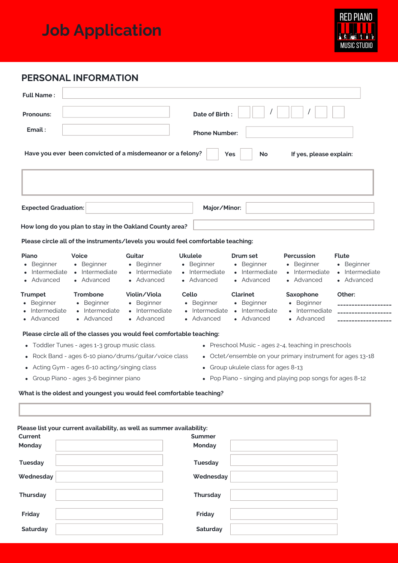## **Job Application**



## **PERSONAL INFORMATION**

**Saturday**

| <b>Full Name:</b>                                                   |                                                                                                                                                                                          |                                                                      |                                                                       |                                                                           |                                                                       |                                                                      |  |  |
|---------------------------------------------------------------------|------------------------------------------------------------------------------------------------------------------------------------------------------------------------------------------|----------------------------------------------------------------------|-----------------------------------------------------------------------|---------------------------------------------------------------------------|-----------------------------------------------------------------------|----------------------------------------------------------------------|--|--|
| <b>Pronouns:</b>                                                    |                                                                                                                                                                                          |                                                                      | Date of Birth:                                                        |                                                                           |                                                                       |                                                                      |  |  |
| Email:                                                              |                                                                                                                                                                                          |                                                                      | <b>Phone Number:</b>                                                  |                                                                           |                                                                       |                                                                      |  |  |
|                                                                     | Have you ever been convicted of a misdemeanor or a felony?                                                                                                                               |                                                                      |                                                                       | <b>Yes</b><br>No                                                          | If yes, please explain:                                               |                                                                      |  |  |
| <b>Expected Graduation:</b>                                         |                                                                                                                                                                                          |                                                                      | Major/Minor:                                                          |                                                                           |                                                                       |                                                                      |  |  |
|                                                                     | How long do you plan to stay in the Oakland County area?                                                                                                                                 |                                                                      |                                                                       |                                                                           |                                                                       |                                                                      |  |  |
|                                                                     | Please circle all of the instruments/levels you would feel comfortable teaching:                                                                                                         |                                                                      |                                                                       |                                                                           |                                                                       |                                                                      |  |  |
| Piano<br>• Beginner<br>Intermediate<br>• Advanced<br><b>Trumpet</b> | <b>Voice</b><br>• Beginner<br>• Intermediate<br>• Advanced<br><b>Trombone</b>                                                                                                            | Guitar<br>• Beginner<br>• Intermediate<br>• Advanced<br>Violin/Viola | <b>Ukulele</b><br>• Beginner<br>• Intermediate<br>• Advanced<br>Cello | Drum set<br>• Beginner<br>• Intermediate<br>• Advanced<br><b>Clarinet</b> | Percussion<br>• Beginner<br>• Intermediate<br>• Advanced<br>Saxophone | <b>Flute</b><br>• Beginner<br>• Intermediate<br>• Advanced<br>Other: |  |  |
| • Beginner<br>Intermediate<br>• Advanced                            | • Beginner<br>• Intermediate<br>• Advanced                                                                                                                                               | • Beginner<br>• Intermediate<br>• Advanced                           | • Beginner<br>Intermediate<br>• Advanced                              | • Beginner<br>• Intermediate<br>• Advanced                                | • Beginner<br>• Intermediate<br>• Advanced                            |                                                                      |  |  |
|                                                                     | Please circle all of the classes you would feel comfortable teaching:                                                                                                                    |                                                                      |                                                                       |                                                                           |                                                                       |                                                                      |  |  |
| $\bullet$                                                           | Toddler Tunes - ages 1-3 group music class.                                                                                                                                              |                                                                      |                                                                       | • Preschool Music - ages 2-4, teaching in preschools                      |                                                                       |                                                                      |  |  |
| $\bullet$                                                           | Rock Band - ages 6-10 piano/drums/guitar/voice class                                                                                                                                     |                                                                      |                                                                       | • Octet/ensemble on your primary instrument for ages 13-18                |                                                                       |                                                                      |  |  |
|                                                                     | • Group ukulele class for ages 8-13<br>Acting Gym - ages 6-10 acting/singing class<br>• Pop Piano - singing and playing pop songs for ages 8-12<br>Group Piano - ages 3-6 beginner piano |                                                                      |                                                                       |                                                                           |                                                                       |                                                                      |  |  |
|                                                                     | What is the oldest and youngest you would feel comfortable teaching?                                                                                                                     |                                                                      |                                                                       |                                                                           |                                                                       |                                                                      |  |  |
|                                                                     |                                                                                                                                                                                          |                                                                      |                                                                       |                                                                           |                                                                       |                                                                      |  |  |
|                                                                     |                                                                                                                                                                                          |                                                                      |                                                                       |                                                                           |                                                                       |                                                                      |  |  |
| Current                                                             | Please list your current availability, as well as summer availability:                                                                                                                   |                                                                      | <b>Summer</b>                                                         |                                                                           |                                                                       |                                                                      |  |  |
| Monday                                                              |                                                                                                                                                                                          |                                                                      | Monday                                                                |                                                                           |                                                                       |                                                                      |  |  |
| <b>Tuesday</b>                                                      |                                                                                                                                                                                          |                                                                      | <b>Tuesday</b>                                                        |                                                                           |                                                                       |                                                                      |  |  |
| Wednesday                                                           |                                                                                                                                                                                          |                                                                      | Wednesday                                                             |                                                                           |                                                                       |                                                                      |  |  |
| <b>Thursday</b>                                                     |                                                                                                                                                                                          |                                                                      | Thursday                                                              |                                                                           |                                                                       |                                                                      |  |  |
| Friday                                                              |                                                                                                                                                                                          |                                                                      | Friday                                                                |                                                                           |                                                                       |                                                                      |  |  |

**Saturday**